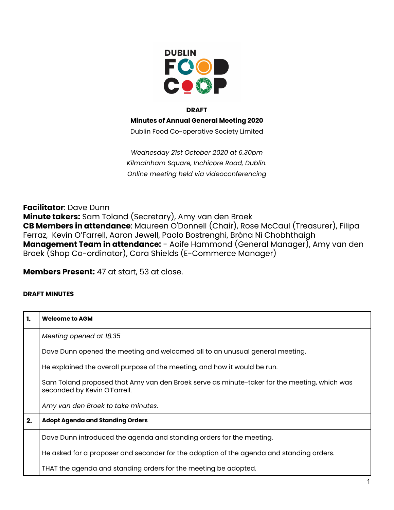

## **DRAFT**

**Minutes of Annual General Meeting 2020**

Dublin Food Co-operative Society Limited

*Wednesday 21st October 2020 at 6.30pm Kilmainham Square, Inchicore Road, Dublin. Online meeting held via videoconferencing*

**Facilitator**: Dave Dunn **Minute takers:** Sam Toland (Secretary), Amy van den Broek **CB Members in attendance**: Maureen O'Donnell (Chair), Rose McCaul (Treasurer), Filipa Ferraz, Kevin O'Farrell, Aaron Jewell, Paolo Bostrenghi, Bróna Ní Chobhthaigh **Management Team in attendance:** - Aoife Hammond (General Manager), Amy van den Broek (Shop Co-ordinator), Cara Shields (E-Commerce Manager)

**Members Present:** 47 at start, 53 at close.

## **DRAFT MINUTES**

| 1. | <b>Welcome to AGM</b>                                                                                                       |
|----|-----------------------------------------------------------------------------------------------------------------------------|
|    | Meeting opened at 18.35                                                                                                     |
|    | Dave Dunn opened the meeting and welcomed all to an unusual general meeting.                                                |
|    | He explained the overall purpose of the meeting, and how it would be run.                                                   |
|    | Sam Toland proposed that Amy van den Broek serve as minute-taker for the meeting, which was<br>seconded by Kevin O'Farrell. |
|    | Amy van den Broek to take minutes.                                                                                          |
| 2. | <b>Adopt Agenda and Standing Orders</b>                                                                                     |
|    | Dave Dunn introduced the agenda and standing orders for the meeting.                                                        |
|    | He asked for a proposer and seconder for the adoption of the agenda and standing orders.                                    |
|    | THAT the agenda and standing orders for the meeting be adopted.                                                             |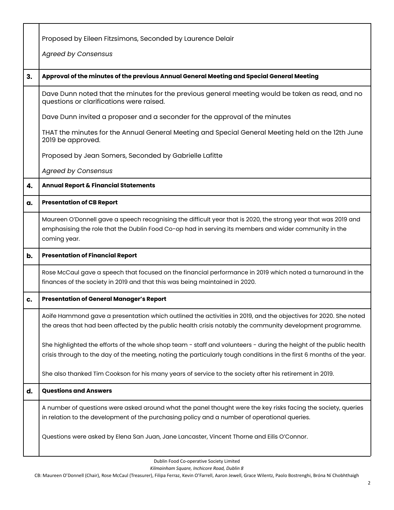|    | Proposed by Eileen Fitzsimons, Seconded by Laurence Delair                                                                                                                                                                                  |
|----|---------------------------------------------------------------------------------------------------------------------------------------------------------------------------------------------------------------------------------------------|
|    | <b>Agreed by Consensus</b>                                                                                                                                                                                                                  |
|    |                                                                                                                                                                                                                                             |
| 3. | Approval of the minutes of the previous Annual General Meeting and Special General Meeting                                                                                                                                                  |
|    | Dave Dunn noted that the minutes for the previous general meeting would be taken as read, and no<br>questions or clarifications were raised.                                                                                                |
|    | Dave Dunn invited a proposer and a seconder for the approval of the minutes                                                                                                                                                                 |
|    | THAT the minutes for the Annual General Meeting and Special General Meeting held on the 12th June<br>2019 be approved.                                                                                                                      |
|    | Proposed by Jean Somers, Seconded by Gabrielle Lafitte                                                                                                                                                                                      |
|    | <b>Agreed by Consensus</b>                                                                                                                                                                                                                  |
| 4. | <b>Annual Report &amp; Financial Statements</b>                                                                                                                                                                                             |
| a. | <b>Presentation of CB Report</b>                                                                                                                                                                                                            |
|    | Maureen O'Donnell gave a speech recognising the difficult year that is 2020, the strong year that was 2019 and<br>emphasising the role that the Dublin Food Co-op had in serving its members and wider community in the<br>coming year.     |
| b. | <b>Presentation of Financial Report</b>                                                                                                                                                                                                     |
|    | Rose McCaul gave a speech that focused on the financial performance in 2019 which noted a turnaround in the<br>finances of the society in 2019 and that this was being maintained in 2020.                                                  |
| c. | <b>Presentation of General Manager's Report</b>                                                                                                                                                                                             |
|    | Aoife Hammond gave a presentation which outlined the activities in 2019, and the objectives for 2020. She noted<br>the areas that had been affected by the public health crisis notably the community development programme.                |
|    | She highlighted the efforts of the whole shop team - staff and volunteers - during the height of the public health<br>crisis through to the day of the meeting, noting the particularly tough conditions in the first 6 months of the year. |
|    | She also thanked Tim Cookson for his many years of service to the society after his retirement in 2019.                                                                                                                                     |
| d. | <b>Questions and Answers</b>                                                                                                                                                                                                                |
|    | A number of questions were asked around what the panel thought were the key risks facing the society, queries<br>in relation to the development of the purchasing policy and a number of operational queries.                               |
|    | Questions were asked by Elena San Juan, Jane Lancaster, Vincent Thorne and Eilís O'Connor.                                                                                                                                                  |

Dublin Food Co-operative Society Limited

*Kilmainham Square, Inchicore Road, Dublin 8*

CB: Maureen O'Donnell (Chair), Rose McCaul (Treasurer), Filipa Ferraz, Kevin O'Farrell, Aaron Jewell, Grace Wilentz, Paolo Bostrenghi, Bróna Ní Chobhthaigh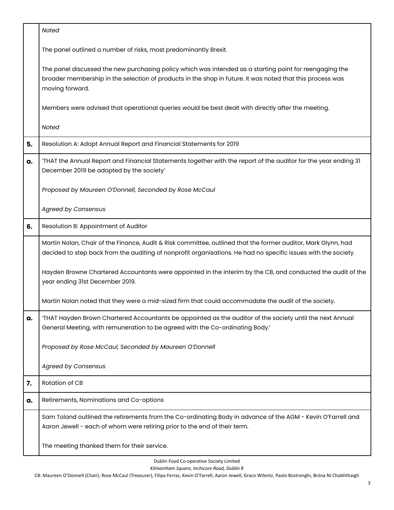|    | Noted                                                                                                                                                                                                                                   |
|----|-----------------------------------------------------------------------------------------------------------------------------------------------------------------------------------------------------------------------------------------|
|    | The panel outlined a number of risks, most predominantly Brexit.                                                                                                                                                                        |
|    | The panel discussed the new purchasing policy which was intended as a starting point for reengaging the<br>broader membership in the selection of products in the shop in future. It was noted that this process was<br>moving forward. |
|    | Members were advised that operational queries would be best dealt with directly after the meeting.                                                                                                                                      |
|    | Noted                                                                                                                                                                                                                                   |
| 5. | Resolution A: Adopt Annual Report and Financial Statements for 2019                                                                                                                                                                     |
| a. | 'THAT the Annual Report and Financial Statements together with the report of the auditor for the year ending 31<br>December 2019 be adopted by the society'                                                                             |
|    | Proposed by Maureen O'Donnell, Seconded by Rose McCaul                                                                                                                                                                                  |
|    | <b>Agreed by Consensus</b>                                                                                                                                                                                                              |
| 6. | Resolution B: Appointment of Auditor                                                                                                                                                                                                    |
|    | Martin Nolan, Chair of the Finance, Audit & Risk committee, outlined that the former auditor, Mark Glynn, had<br>decided to step back from the auditing of nonprofit organisations. He had no specific issues with the society.         |
|    | Hayden Browne Chartered Accountants were appointed in the interim by the CB, and conducted the audit of the<br>year ending 31st December 2019.                                                                                          |
|    | Martin Nolan noted that they were a mid-sized firm that could accommodate the audit of the society.                                                                                                                                     |
| a. | 'THAT Hayden Brown Chartered Accountants be appointed as the auditor of the society until the next Annual<br>General Meeting, with remuneration to be agreed with the Co-ordinating Body.'                                              |
|    | Proposed by Rose McCaul, Seconded by Maureen O'Donnell                                                                                                                                                                                  |
|    | <b>Agreed by Consensus</b>                                                                                                                                                                                                              |
| 7. | Rotation of CB                                                                                                                                                                                                                          |
| a. | Retirements, Nominations and Co-options                                                                                                                                                                                                 |
|    | Sam Toland outlined the retirements from the Co-ordinating Body in advance of the AGM - Kevin O'Farrell and<br>Aaron Jewell - each of whom were retiring prior to the end of their term.                                                |
|    | The meeting thanked them for their service.                                                                                                                                                                                             |

Dublin Food Co-operative Society Limited

*Kilmainham Square, Inchicore Road, Dublin 8*

CB: Maureen O'Donnell (Chair), Rose McCaul (Treasurer), Filipa Ferraz, Kevin O'Farrell, Aaron Jewell, Grace Wilentz, Paolo Bostrenghi, Bróna Ní Chobhthaigh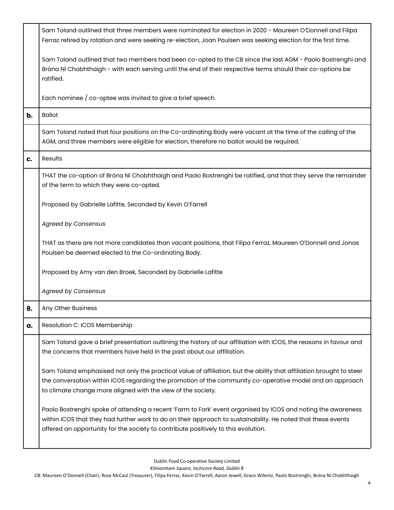|    | Sam Toland outlined that three members were nominated for election in 2020 - Maureen O'Donnell and Filipa<br>Ferraz retired by rotation and were seeking re-election, Joan Poulsen was seeking election for the first time.                                                                                        |
|----|--------------------------------------------------------------------------------------------------------------------------------------------------------------------------------------------------------------------------------------------------------------------------------------------------------------------|
|    | Sam Toland outlined that two members had been co-opted to the CB since the last AGM - Paolo Bostrenghi and<br>Bróna Ní Chobhthaigh - with each serving until the end of their respective terms should their co-options be<br>ratified.                                                                             |
|    | Each nominee $\frac{1}{1}$ co-optee was invited to give a brief speech.                                                                                                                                                                                                                                            |
| b. | <b>Ballot</b>                                                                                                                                                                                                                                                                                                      |
|    | Sam Toland noted that four positions on the Co-ordinating Body were vacant at the time of the calling of the<br>AGM, and three members were eligible for election, therefore no ballot would be required.                                                                                                          |
| c. | Results                                                                                                                                                                                                                                                                                                            |
|    | THAT the co-option of Bróna Ní Chobhthaigh and Paolo Bostrenghi be ratified, and that they serve the remainder<br>of the term to which they were co-opted.                                                                                                                                                         |
|    | Proposed by Gabrielle Lafitte, Seconded by Kevin O'Farrell                                                                                                                                                                                                                                                         |
|    | <b>Agreed by Consensus</b>                                                                                                                                                                                                                                                                                         |
|    | THAT as there are not more candidates than vacant positions, that Filipa Ferraz, Maureen O'Donnell and Jonas<br>Poulsen be deemed elected to the Co-ordinating Body.                                                                                                                                               |
|    | Proposed by Amy van den Broek, Seconded by Gabrielle Lafitte                                                                                                                                                                                                                                                       |
|    | <b>Agreed by Consensus</b>                                                                                                                                                                                                                                                                                         |
| 8. | Any Other Business                                                                                                                                                                                                                                                                                                 |
| a. | Resolution C: ICOS Membership                                                                                                                                                                                                                                                                                      |
|    | Sam Toland gave a brief presentation outlining the history of our affiliation with ICOS, the reasons in favour and<br>the concerns that members have held in the past about our affiliation.                                                                                                                       |
|    | Sam Toland emphasised not only the practical value of affiliation, but the ability that affiliation brought to steer<br>the conversation within ICOS regarding the promotion of the community co-operative model and an approach<br>to climate change more aligned with the view of the society.                   |
|    | Paolo Bostrenghi spoke of attending a recent 'Farm to Fork' event organised by ICOS and noting the awareness<br>within ICOS that they had further work to do on their approach to sustainability. He noted that these events<br>offered an opportunity for the society to contribute positively to this evolution. |

Dublin Food Co-operative Society Limited

*Kilmainham Square, Inchicore Road, Dublin 8*

CB: Maureen O'Donnell (Chair), Rose McCaul (Treasurer), Filipa Ferraz, Kevin O'Farrell, Aaron Jewell, Grace Wilentz, Paolo Bostrenghi, Bróna Ní Chobhthaigh